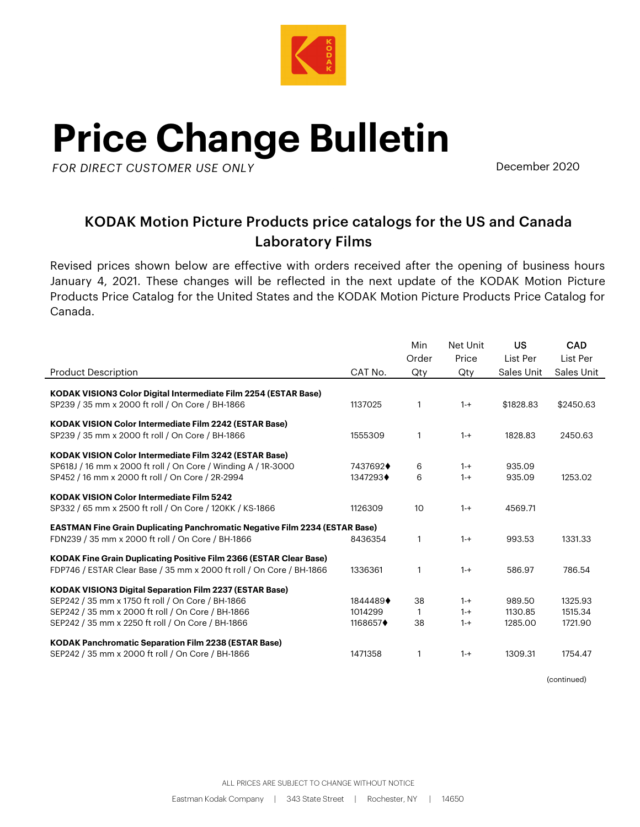

## **Price Change Bulletin**

**AK***FOR DIRECT CUSTOMER USE ONLY*

December 2020

## KODAK Motion Picture Products price catalogs for the US and Canada Laboratory Films

Revised prices shown below are effective with orders received after the opening of business hours January 4, 2021. These changes will be reflected in the next update of the KODAK Motion Picture Products Price Catalog for the United States and the KODAK Motion Picture Products Price Catalog for Canada.

|                                                                                    |                         | Min             | Net Unit | US         | <b>CAD</b> |
|------------------------------------------------------------------------------------|-------------------------|-----------------|----------|------------|------------|
|                                                                                    |                         | Order           | Price    | List Per   | List Per   |
| <b>Product Description</b>                                                         | CAT No.                 | Qty             | Qtv      | Sales Unit | Sales Unit |
| <b>KODAK VISION3 Color Digital Intermediate Film 2254 (ESTAR Base)</b>             |                         |                 |          |            |            |
| SP239 / 35 mm x 2000 ft roll / On Core / BH-1866                                   | 1137025                 | 1               | $1 - +$  | \$1828.83  | \$2450.63  |
|                                                                                    |                         |                 |          |            |            |
| <b>KODAK VISION Color Intermediate Film 2242 (ESTAR Base)</b>                      |                         |                 |          |            |            |
| SP239 / 35 mm x 2000 ft roll / On Core / BH-1866                                   | 1555309                 | $\mathbf{1}$    | $1 - +$  | 1828.83    | 2450.63    |
| <b>KODAK VISION Color Intermediate Film 3242 (ESTAR Base)</b>                      |                         |                 |          |            |            |
| SP618J / 16 mm x 2000 ft roll / On Core / Winding A / 1R-3000                      | 7437692 $\blacklozenge$ | 6               | $1 - +$  | 935.09     |            |
| SP452 / 16 mm x 2000 ft roll / On Core / 2R-2994                                   | 1347293 $\blacklozenge$ | 6               | $1 - +$  | 935.09     | 1253.02    |
| <b>KODAK VISION Color Intermediate Film 5242</b>                                   |                         |                 |          |            |            |
| SP332 / 65 mm x 2500 ft roll / On Core / 120KK / KS-1866                           | 1126309                 | 10 <sup>°</sup> | $1 - +$  | 4569.71    |            |
| <b>EASTMAN Fine Grain Duplicating Panchromatic Negative Film 2234 (ESTAR Base)</b> |                         |                 |          |            |            |
| FDN239 / 35 mm x 2000 ft roll / On Core / BH-1866                                  | 8436354                 | 1               | $1 - +$  | 993.53     | 1331.33    |
| <b>KODAK Fine Grain Duplicating Positive Film 2366 (ESTAR Clear Base)</b>          |                         |                 |          |            |            |
| FDP746 / ESTAR Clear Base / 35 mm x 2000 ft roll / On Core / BH-1866               | 1336361                 | 1               | $1 - +$  | 586.97     | 786.54     |
| <b>KODAK VISION3 Digital Separation Film 2237 (ESTAR Base)</b>                     |                         |                 |          |            |            |
| SEP242 / 35 mm x 1750 ft roll / On Core / BH-1866                                  | 1844489+                | 38              | $1 - +$  | 989.50     | 1325.93    |
| SEP242 / 35 mm x 2000 ft roll / On Core / BH-1866                                  | 1014299                 | 1               | $1 - +$  | 1130.85    | 1515.34    |
| SEP242 / 35 mm x 2250 ft roll / On Core / BH-1866                                  | 1168657 $\blacklozenge$ | 38              | $1 - +$  | 1285.00    | 1721.90    |
|                                                                                    |                         |                 |          |            |            |
| <b>KODAK Panchromatic Separation Film 2238 (ESTAR Base)</b>                        |                         |                 |          |            |            |
| SEP242 / 35 mm x 2000 ft roll / On Core / BH-1866                                  | 1471358                 | $\mathbf 1$     | $1 - +$  | 1309.31    | 1754.47    |

(continued)

ALL PRICES ARE SUBJECT TO CHANGE WITHOUT NOTICE